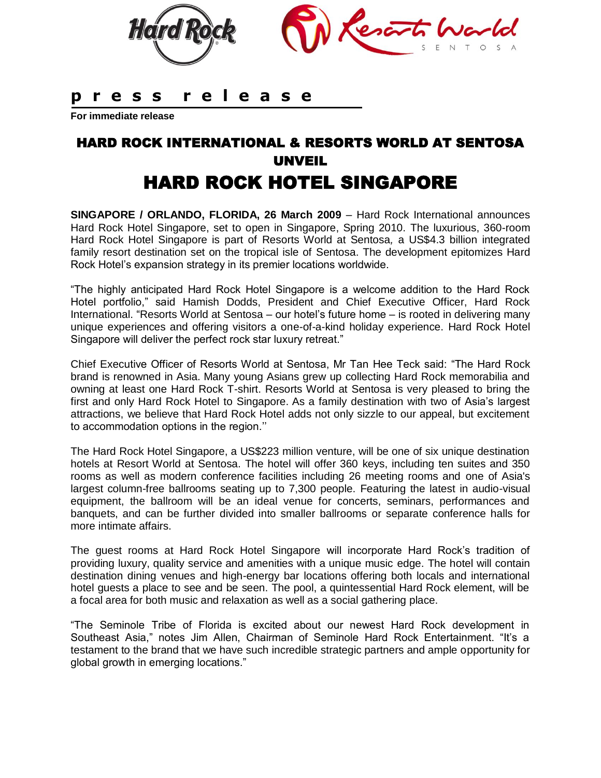

## **p r e s s r e l e a s e**

**For immediate release** 

# HARD ROCK INTERNATIONAL & RESORTS WORLD AT SENTOSA UNVEIL HARD ROCK HOTEL SINGAPORE

**SINGAPORE / ORLANDO, FLORIDA, 26 March 2009** – Hard Rock International announces Hard Rock Hotel Singapore, set to open in Singapore, Spring 2010. The luxurious, 360-room Hard Rock Hotel Singapore is part of Resorts World at Sentosa*,* a US\$4.3 billion integrated family resort destination set on the tropical isle of Sentosa. The development epitomizes Hard Rock Hotel's expansion strategy in its premier locations worldwide.

"The highly anticipated Hard Rock Hotel Singapore is a welcome addition to the Hard Rock Hotel portfolio," said Hamish Dodds, President and Chief Executive Officer, Hard Rock International. "Resorts World at Sentosa – our hotel's future home – is rooted in delivering many unique experiences and offering visitors a one-of-a-kind holiday experience. Hard Rock Hotel Singapore will deliver the perfect rock star luxury retreat."

Chief Executive Officer of Resorts World at Sentosa, Mr Tan Hee Teck said: "The Hard Rock brand is renowned in Asia. Many young Asians grew up collecting Hard Rock memorabilia and owning at least one Hard Rock T-shirt. Resorts World at Sentosa is very pleased to bring the first and only Hard Rock Hotel to Singapore. As a family destination with two of Asia's largest attractions, we believe that Hard Rock Hotel adds not only sizzle to our appeal, but excitement to accommodation options in the region.''

The Hard Rock Hotel Singapore, a US\$223 million venture, will be one of six unique destination hotels at Resort World at Sentosa. The hotel will offer 360 keys, including ten suites and 350 rooms as well as modern conference facilities including 26 meeting rooms and one of Asia's largest column-free ballrooms seating up to 7,300 people. Featuring the latest in audio-visual equipment, the ballroom will be an ideal venue for concerts, seminars, performances and banquets, and can be further divided into smaller ballrooms or separate conference halls for more intimate affairs.

The guest rooms at Hard Rock Hotel Singapore will incorporate Hard Rock's tradition of providing luxury, quality service and amenities with a unique music edge. The hotel will contain destination dining venues and high-energy bar locations offering both locals and international hotel guests a place to see and be seen. The pool, a quintessential Hard Rock element, will be a focal area for both music and relaxation as well as a social gathering place.

"The Seminole Tribe of Florida is excited about our newest Hard Rock development in Southeast Asia," notes Jim Allen, Chairman of Seminole Hard Rock Entertainment. "It's a testament to the brand that we have such incredible strategic partners and ample opportunity for global growth in emerging locations."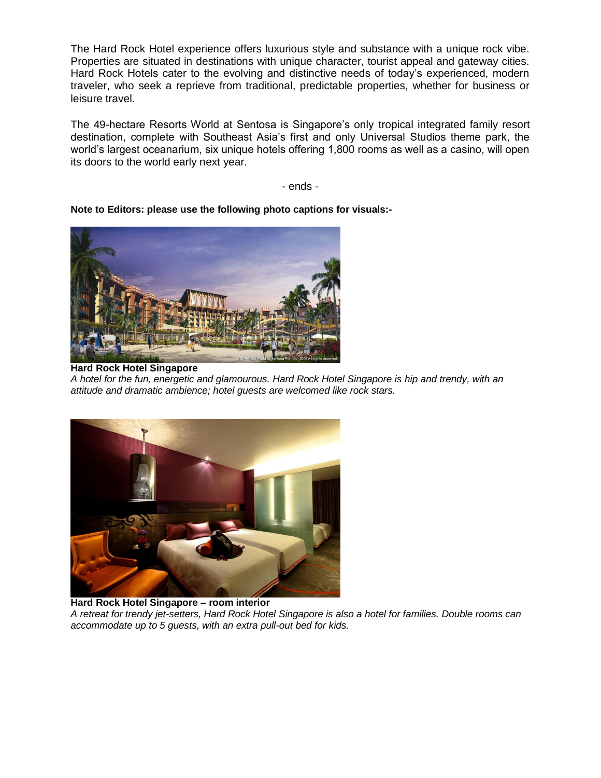The Hard Rock Hotel experience offers luxurious style and substance with a unique rock vibe. Properties are situated in destinations with unique character, tourist appeal and gateway cities. Hard Rock Hotels cater to the evolving and distinctive needs of today's experienced, modern traveler, who seek a reprieve from traditional, predictable properties, whether for business or leisure travel.

The 49-hectare Resorts World at Sentosa is Singapore's only tropical integrated family resort destination, complete with Southeast Asia's first and only Universal Studios theme park, the world's largest oceanarium, six unique hotels offering 1,800 rooms as well as a casino, will open its doors to the world early next year.

- ends -

**Note to Editors: please use the following photo captions for visuals:-**



**Hard Rock Hotel Singapore** *A hotel for the fun, energetic and glamourous. Hard Rock Hotel Singapore is hip and trendy, with an attitude and dramatic ambience; hotel guests are welcomed like rock stars.*



**Hard Rock Hotel Singapore – room interior**  *A retreat for trendy jet-setters, Hard Rock Hotel Singapore is also a hotel for families. Double rooms can accommodate up to 5 guests, with an extra pull-out bed for kids.*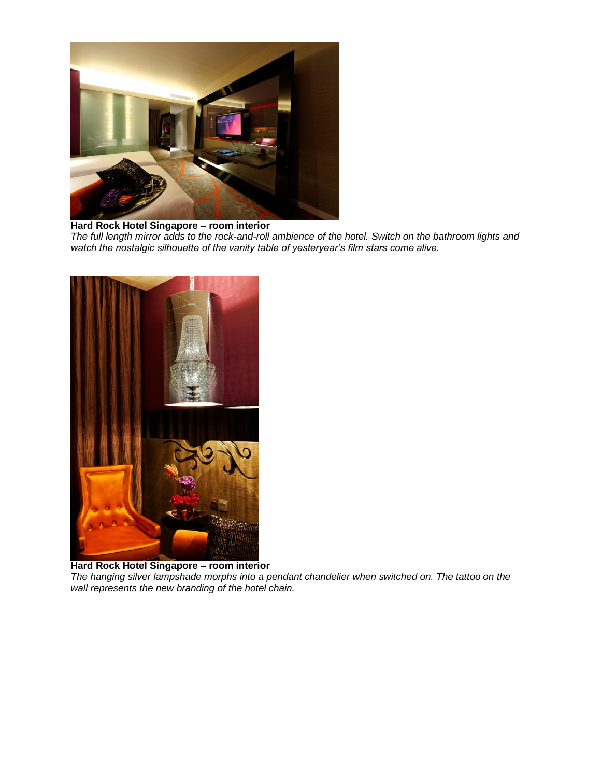

**Hard Rock Hotel Singapore – room interior**  *The full length mirror adds to the rock-and-roll ambience of the hotel. Switch on the bathroom lights and watch the nostalgic silhouette of the vanity table of yesteryear's film stars come alive.* 



**Hard Rock Hotel Singapore – room interior**  *The hanging silver lampshade morphs into a pendant chandelier when switched on. The tattoo on the wall represents the new branding of the hotel chain.*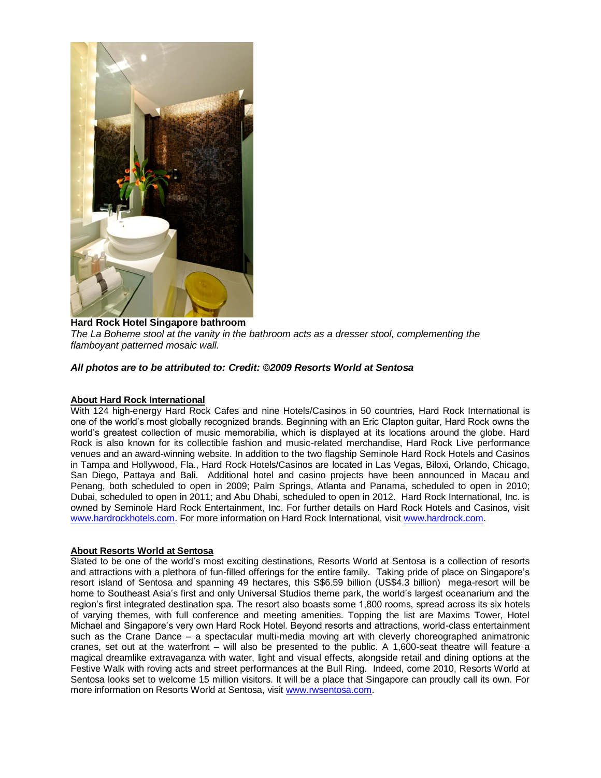

**Hard Rock Hotel Singapore bathroom**  *The La Boheme stool at the vanity in the bathroom acts as a dresser stool, complementing the flamboyant patterned mosaic wall.*

#### *All photos are to be attributed to: Credit: ©2009 Resorts World at Sentosa*

#### **About Hard Rock International**

With 124 high-energy Hard Rock Cafes and nine Hotels/Casinos in 50 countries, Hard Rock International is one of the world's most globally recognized brands. Beginning with an Eric Clapton guitar, Hard Rock owns the world's greatest collection of music memorabilia, which is displayed at its locations around the globe. Hard Rock is also known for its collectible fashion and music-related merchandise, Hard Rock Live performance venues and an award-winning website. In addition to the two flagship Seminole Hard Rock Hotels and Casinos in Tampa and Hollywood, Fla., Hard Rock Hotels/Casinos are located in Las Vegas, Biloxi, Orlando, Chicago, San Diego, Pattaya and Bali. Additional hotel and casino projects have been announced in Macau and Penang, both scheduled to open in 2009; Palm Springs, Atlanta and Panama, scheduled to open in 2010; Dubai, scheduled to open in 2011; and Abu Dhabi, scheduled to open in 2012. Hard Rock International, Inc. is owned by Seminole Hard Rock Entertainment, Inc. For further details on Hard Rock Hotels and Casinos, visit [www.hardrockhotels.com.](http://www.hardrockhotels.com/) For more information on Hard Rock International, visit [www.hardrock.com.](http://www.hardrock.com/)

#### **About Resorts World at Sentosa**

Slated to be one of the world's most exciting destinations, Resorts World at Sentosa is a collection of resorts and attractions with a plethora of fun-filled offerings for the entire family. Taking pride of place on Singapore's resort island of Sentosa and spanning 49 hectares, this S\$6.59 billion (US\$4.3 billion) mega-resort will be home to Southeast Asia's first and only Universal Studios theme park, the world's largest oceanarium and the region's first integrated destination spa. The resort also boasts some 1,800 rooms, spread across its six hotels of varying themes, with full conference and meeting amenities. Topping the list are Maxims Tower, Hotel Michael and Singapore's very own Hard Rock Hotel. Beyond resorts and attractions, world-class entertainment such as the Crane Dance – a spectacular multi-media moving art with cleverly choreographed animatronic cranes, set out at the waterfront – will also be presented to the public. A 1,600-seat theatre will feature a magical dreamlike extravaganza with water, light and visual effects, alongside retail and dining options at the Festive Walk with roving acts and street performances at the Bull Ring. Indeed, come 2010, Resorts World at Sentosa looks set to welcome 15 million visitors. It will be a place that Singapore can proudly call its own. For more information on Resorts World at Sentosa, visit [www.rwsentosa.com.](http://www.rwsentosa.com/)